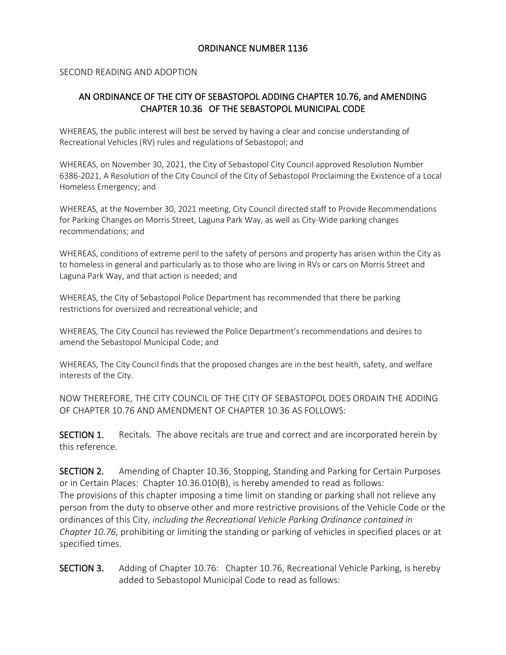#### ORDINANCE NUMBER 1136

#### SECOND READING AND ADOPTION

# AN ORDINANCE OF THE CITY OF SEBASTOPOL ADDING CHAPTER 10.76, and AMENDING CHAPTER 10.36 OF THE SEBASTOPOL MUNICIPAL CODE

WHEREAS, the public interest will best be served by having a clear and concise understanding of Recreational Vehicles (RV) rules and regulations of Sebastopol; and

WHEREAS, on November 30, 2021, the City of Sebastopol City Council approved Resolution Number 6386-2021, A Resolution of the City Council of the City of Sebastopol Proclaiming the Existence of a Local Homeless Emergency; and

WHEREAS, at the November 30, 2021 meeting, City Council directed staff to Provide Recommendations for Parking Changes on Morris Street, Laguna Park Way, as well as City-Wide parking changes recommendations; and

WHEREAS, conditions of extreme peril to the safety of persons and property has arisen within the City as to homeless in general and particularly as to those who are living in RVs or cars on Morris Street and Laguna Park Way, and that action is needed; and

WHEREAS, the City of Sebastopol Police Department has recommended that there be parking restrictions for oversized and recreational vehicle; and

WHEREAS, The City Council has reviewed the Police Department's recommendations and desires to amend the Sebastopol Municipal Code; and

WHEREAS, The City Council finds that the proposed changes are in the best health, safety, and welfare interests of the City.

NOW THEREFORE, THE CITY COUNCIL OF THE CITY OF SEBASTOPOL DOES ORDAIN THE ADDING OF CHAPTER 10.76 AND AMENDMENT OF CHAPTER 10.36 AS FOLLOWS:

SECTION 1. Recitals. The above recitals are true and correct and are incorporated herein by this reference.

SECTION 2. Amending of Chapter 10.36, Stopping, Standing and Parking for Certain Purposes or in Certain Places: Chapter 10.36.010(B), is hereby amended to read as follows: The provisions of this chapter imposing a time limit on standing or parking shall not relieve any person from the duty to observe other and more restrictive provisions of the Vehicle Code or the ordinances of this City, *including the Recreational Vehicle Parking Ordinance contained in Chapter 10.76*, prohibiting or limiting the standing or parking of vehicles in specified places or at specified times.

SECTION 3. Adding of Chapter 10.76: Chapter 10.76, Recreational Vehicle Parking, is hereby added to Sebastopol Municipal Code to read as follows: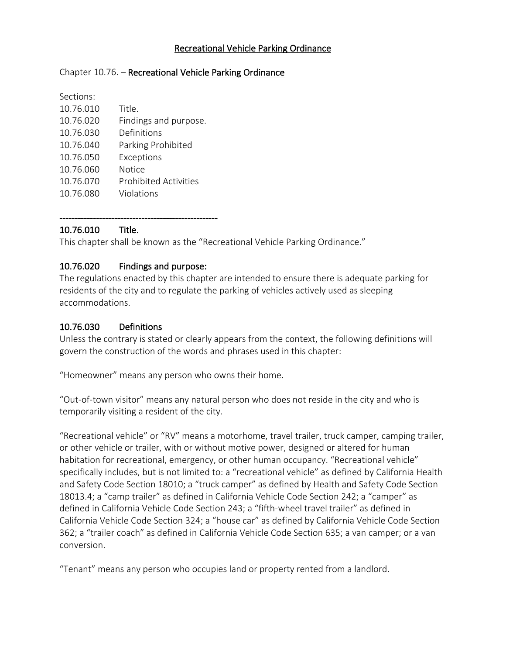## Recreational Vehicle Parking Ordinance

#### Chapter 10.76. - Recreational Vehicle Parking Ordinance

| Sections: |                              |
|-----------|------------------------------|
| 10.76.010 | Title.                       |
| 10.76.020 | Findings and purpose.        |
| 10.76.030 | Definitions                  |
| 10.76.040 | Parking Prohibited           |
| 10.76.050 | Exceptions                   |
| 10.76.060 | Notice                       |
| 10.76.070 | <b>Prohibited Activities</b> |
| 10.76.080 | Violations                   |

# 10.76.010 Title.

This chapter shall be known as the "Recreational Vehicle Parking Ordinance."

## 10.76.020 Findings and purpose:

----------------------------------------------------

The regulations enacted by this chapter are intended to ensure there is adequate parking for residents of the city and to regulate the parking of vehicles actively used as sleeping accommodations.

## 10.76.030 Definitions

Unless the contrary is stated or clearly appears from the context, the following definitions will govern the construction of the words and phrases used in this chapter:

"Homeowner" means any person who owns their home.

"Out-of-town visitor" means any natural person who does not reside in the city and who is temporarily visiting a resident of the city.

"Recreational vehicle" or "RV" means a motorhome, travel trailer, truck camper, camping trailer, or other vehicle or trailer, with or without motive power, designed or altered for human habitation for recreational, emergency, or other human occupancy. "Recreational vehicle" specifically includes, but is not limited to: a "recreational vehicle" as defined by California Health and Safety Code Section 18010; a "truck camper" as defined by Health and Safety Code Section 18013.4; a "camp trailer" as defined in California Vehicle Code Section 242; a "camper" as defined in California Vehicle Code Section 243; a "fifth-wheel travel trailer" as defined in California Vehicle Code Section 324; a "house car" as defined by California Vehicle Code Section 362; a "trailer coach" as defined in California Vehicle Code Section 635; a van camper; or a van conversion.

"Tenant" means any person who occupies land or property rented from a landlord.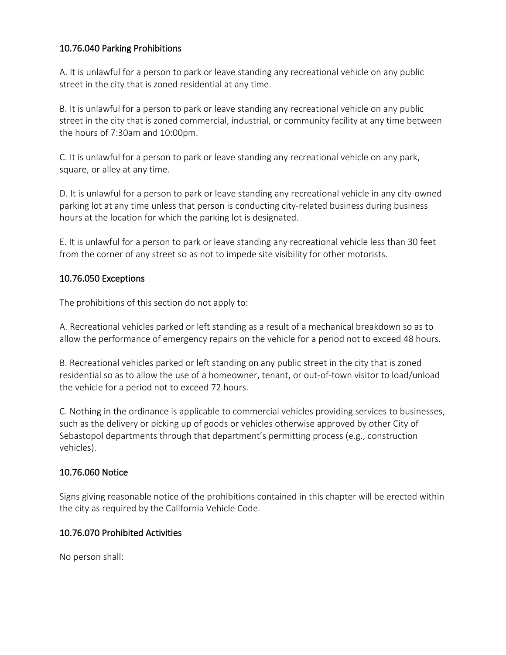# 10.76.040 Parking Prohibitions

A. It is unlawful for a person to park or leave standing any recreational vehicle on any public street in the city that is zoned residential at any time.

B. It is unlawful for a person to park or leave standing any recreational vehicle on any public street in the city that is zoned commercial, industrial, or community facility at any time between the hours of 7:30am and 10:00pm.

C. It is unlawful for a person to park or leave standing any recreational vehicle on any park, square, or alley at any time.

D. It is unlawful for a person to park or leave standing any recreational vehicle in any city-owned parking lot at any time unless that person is conducting city-related business during business hours at the location for which the parking lot is designated.

E. It is unlawful for a person to park or leave standing any recreational vehicle less than 30 feet from the corner of any street so as not to impede site visibility for other motorists.

## 10.76.050 Exceptions

The prohibitions of this section do not apply to:

A. Recreational vehicles parked or left standing as a result of a mechanical breakdown so as to allow the performance of emergency repairs on the vehicle for a period not to exceed 48 hours.

B. Recreational vehicles parked or left standing on any public street in the city that is zoned residential so as to allow the use of a homeowner, tenant, or out-of-town visitor to load/unload the vehicle for a period not to exceed 72 hours.

C. Nothing in the ordinance is applicable to commercial vehicles providing services to businesses, such as the delivery or picking up of goods or vehicles otherwise approved by other City of Sebastopol departments through that department's permitting process (e.g., construction vehicles).

## 10.76.060 Notice

Signs giving reasonable notice of the prohibitions contained in this chapter will be erected within the city as required by the California Vehicle Code.

## 10.76.070 Prohibited Activities

No person shall: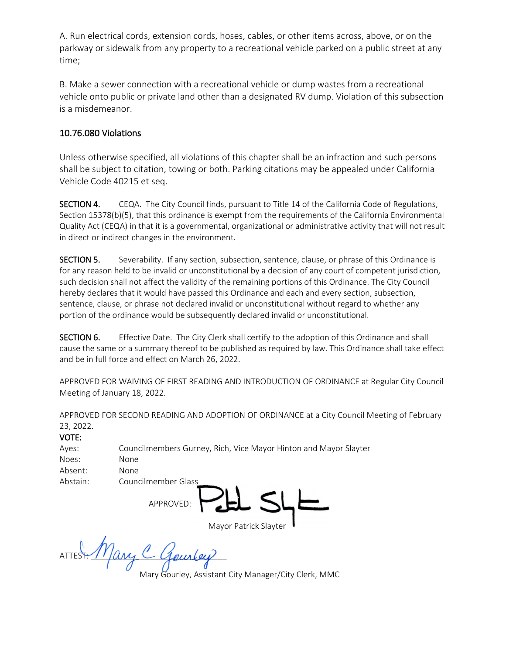A. Run electrical cords, extension cords, hoses, cables, or other items across, above, or on the parkway or sidewalk from any property to a recreational vehicle parked on a public street at any time;

B. Make a sewer connection with a recreational vehicle or dump wastes from a recreational vehicle onto public or private land other than a designated RV dump. Violation of this subsection is a misdemeanor.

## 10.76.080 Violations

Unless otherwise specified, all violations of this chapter shall be an infraction and such persons shall be subject to citation, towing or both. Parking citations may be appealed under California Vehicle Code 40215 et seq.

SECTION 4. CEQA. The City Council finds, pursuant to Title 14 of the California Code of Regulations, Section 15378(b)(5), that this ordinance is exempt from the requirements of the California Environmental Quality Act (CEQA) in that it is a governmental, organizational or administrative activity that will not result in direct or indirect changes in the environment.

SECTION 5. Severability. If any section, subsection, sentence, clause, or phrase of this Ordinance is for any reason held to be invalid or unconstitutional by a decision of any court of competent jurisdiction, such decision shall not affect the validity of the remaining portions of this Ordinance. The City Council hereby declares that it would have passed this Ordinance and each and every section, subsection, sentence, clause, or phrase not declared invalid or unconstitutional without regard to whether any portion of the ordinance would be subsequently declared invalid or unconstitutional.

SECTION 6. Effective Date. The City Clerk shall certify to the adoption of this Ordinance and shall cause the same or a summary thereof to be published as required by law. This Ordinance shall take effect and be in full force and effect on March 26, 2022.

APPROVED FOR WAIVING OF FIRST READING AND INTRODUCTION OF ORDINANCE at Regular City Council Meeting of January 18, 2022.

APPROVED FOR SECOND READING AND ADOPTION OF ORDINANCE at a City Council Meeting of February 23, 2022.

| a.<br>M.<br>٩ | w | u. |
|---------------|---|----|
|               |   |    |

| Ayes:    | Councilmembers Gurney, Rich, Vice Mayor Hinton and Mayor Slayter |
|----------|------------------------------------------------------------------|
| Noes:    | None                                                             |
| Absent:  | None                                                             |
| Abstain: | Councilmember Glass                                              |
|          | APPROVED:                                                        |

Mayor Patrick Slayter

ATTEST: Mary C Gourley

Mary Gourley, Assistant City Manager/City Clerk, MMC